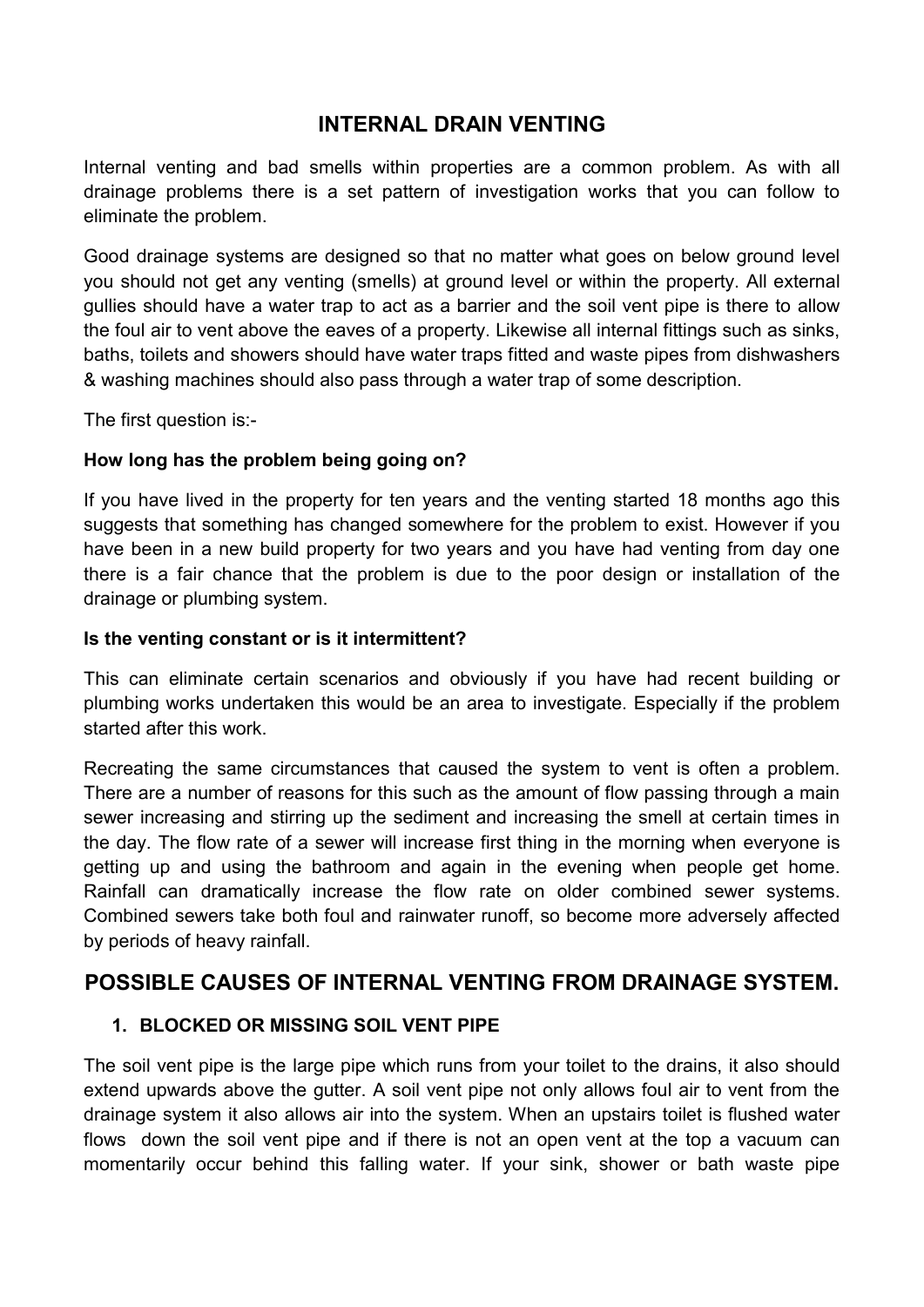## INTERNAL DRAIN VENTING

Internal venting and bad smells within properties are a common problem. As with all drainage problems there is a set pattern of investigation works that you can follow to eliminate the problem.

Good drainage systems are designed so that no matter what goes on below ground level you should not get any venting (smells) at ground level or within the property. All external gullies should have a water trap to act as a barrier and the soil vent pipe is there to allow the foul air to vent above the eaves of a property. Likewise all internal fittings such as sinks, baths, toilets and showers should have water traps fitted and waste pipes from dishwashers & washing machines should also pass through a water trap of some description.

The first question is:-

#### How long has the problem being going on?

If you have lived in the property for ten years and the venting started 18 months ago this suggests that something has changed somewhere for the problem to exist. However if you have been in a new build property for two years and you have had venting from day one there is a fair chance that the problem is due to the poor design or installation of the drainage or plumbing system.

#### Is the venting constant or is it intermittent?

This can eliminate certain scenarios and obviously if you have had recent building or plumbing works undertaken this would be an area to investigate. Especially if the problem started after this work.

Recreating the same circumstances that caused the system to vent is often a problem. There are a number of reasons for this such as the amount of flow passing through a main sewer increasing and stirring up the sediment and increasing the smell at certain times in the day. The flow rate of a sewer will increase first thing in the morning when everyone is getting up and using the bathroom and again in the evening when people get home. Rainfall can dramatically increase the flow rate on older combined sewer systems. Combined sewers take both foul and rainwater runoff, so become more adversely affected by periods of heavy rainfall.

### POSSIBLE CAUSES OF INTERNAL VENTING FROM DRAINAGE SYSTEM.

#### 1. BLOCKED OR MISSING SOIL VENT PIPE

The soil vent pipe is the large pipe which runs from your toilet to the drains, it also should extend upwards above the gutter. A soil vent pipe not only allows foul air to vent from the drainage system it also allows air into the system. When an upstairs toilet is flushed water flows down the soil vent pipe and if there is not an open vent at the top a vacuum can momentarily occur behind this falling water. If your sink, shower or bath waste pipe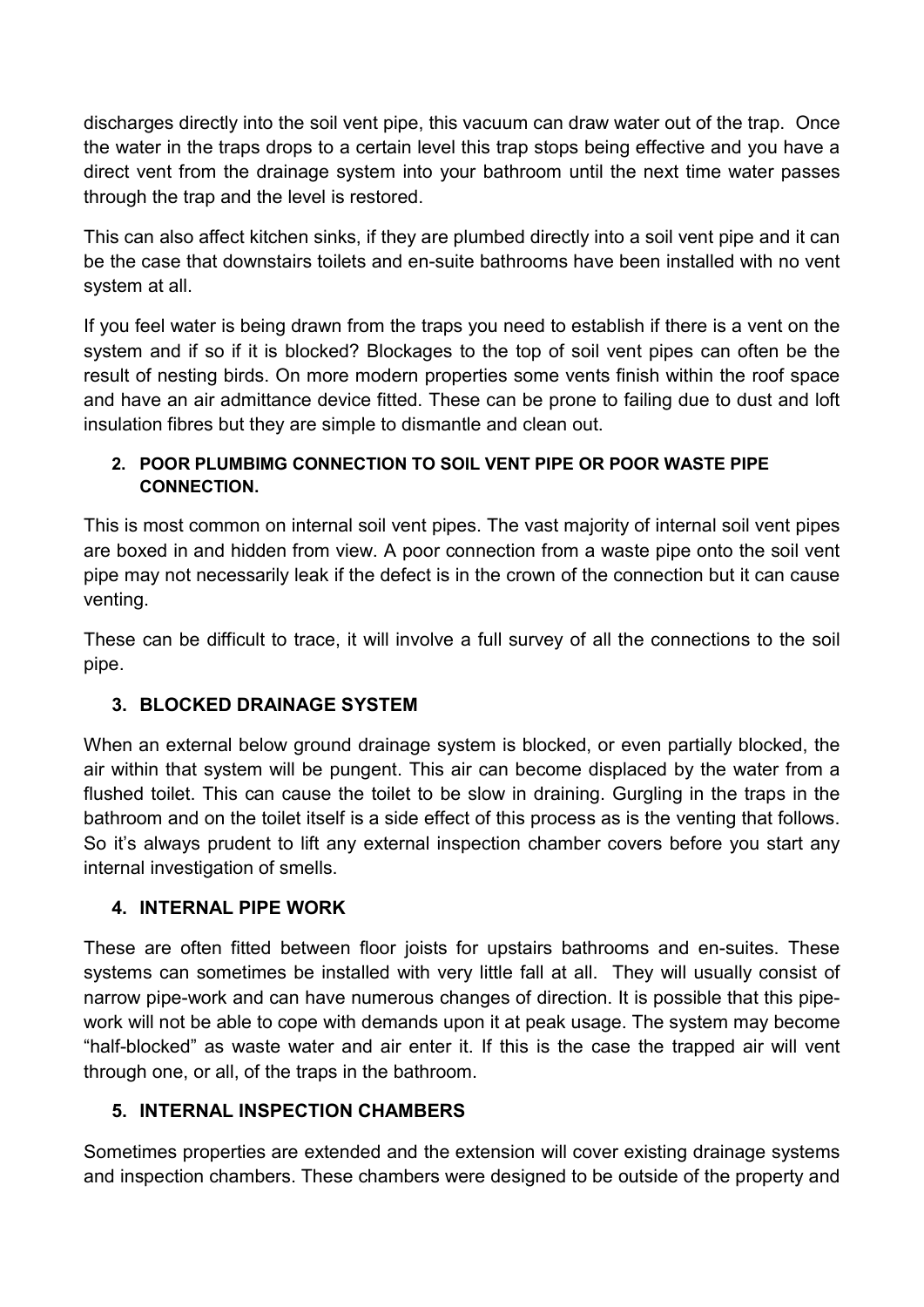discharges directly into the soil vent pipe, this vacuum can draw water out of the trap. Once the water in the traps drops to a certain level this trap stops being effective and you have a direct vent from the drainage system into your bathroom until the next time water passes through the trap and the level is restored.

This can also affect kitchen sinks, if they are plumbed directly into a soil vent pipe and it can be the case that downstairs toilets and en-suite bathrooms have been installed with no vent system at all.

If you feel water is being drawn from the traps you need to establish if there is a vent on the system and if so if it is blocked? Blockages to the top of soil vent pipes can often be the result of nesting birds. On more modern properties some vents finish within the roof space and have an air admittance device fitted. These can be prone to failing due to dust and loft insulation fibres but they are simple to dismantle and clean out.

#### 2. POOR PLUMBIMG CONNECTION TO SOIL VENT PIPE OR POOR WASTE PIPE **CONNECTION.**

This is most common on internal soil vent pipes. The vast majority of internal soil vent pipes are boxed in and hidden from view. A poor connection from a waste pipe onto the soil vent pipe may not necessarily leak if the defect is in the crown of the connection but it can cause venting.

These can be difficult to trace, it will involve a full survey of all the connections to the soil pipe.

# 3. BLOCKED DRAINAGE SYSTEM

When an external below ground drainage system is blocked, or even partially blocked, the air within that system will be pungent. This air can become displaced by the water from a flushed toilet. This can cause the toilet to be slow in draining. Gurgling in the traps in the bathroom and on the toilet itself is a side effect of this process as is the venting that follows. So it's always prudent to lift any external inspection chamber covers before you start any internal investigation of smells.

### 4. INTERNAL PIPE WORK

These are often fitted between floor joists for upstairs bathrooms and en-suites. These systems can sometimes be installed with very little fall at all. They will usually consist of narrow pipe-work and can have numerous changes of direction. It is possible that this pipework will not be able to cope with demands upon it at peak usage. The system may become "half-blocked" as waste water and air enter it. If this is the case the trapped air will vent through one, or all, of the traps in the bathroom.

# 5. INTERNAL INSPECTION CHAMBERS

Sometimes properties are extended and the extension will cover existing drainage systems and inspection chambers. These chambers were designed to be outside of the property and